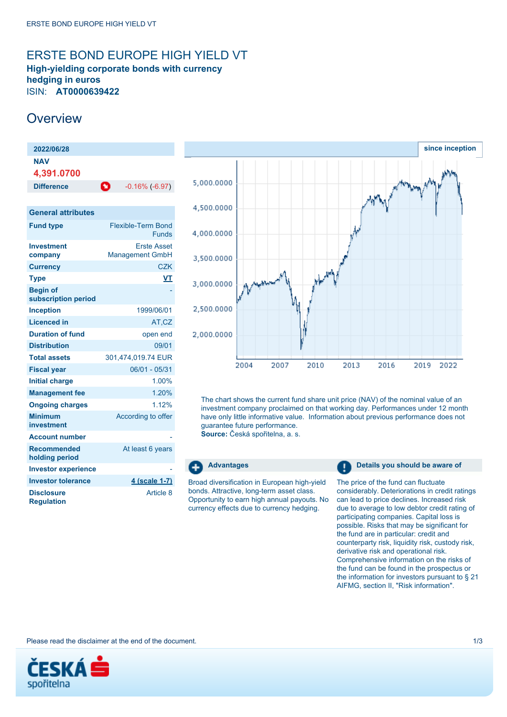# <span id="page-0-0"></span>ERSTE BOND EUROPE HIGH YIELD VT

**High-yielding corporate bonds with currency hedging in euros** ISIN: **AT0000639422**

## **Overview**

**Minimum investment**

**Disclosure Regulation**

**Account number Recommended holding period**

**Investor experience** 

| 2022/06/28                             |                                              |
|----------------------------------------|----------------------------------------------|
| NAV<br>4,391.0700                      |                                              |
| <b>Difference</b>                      | o<br>$-0.16\%$ ( $-6.97$ )                   |
|                                        |                                              |
| <b>General attributes</b>              |                                              |
| <b>Fund type</b>                       | Flexible-Term Bond<br><b>Funds</b>           |
| <b>Investment</b><br>company           | <b>Erste Asset</b><br><b>Management GmbH</b> |
| <b>Currency</b>                        | <b>CZK</b>                                   |
| <b>Type</b>                            | VT                                           |
| <b>Begin of</b><br>subscription period |                                              |
| <b>Inception</b>                       | 1999/06/01                                   |
| Licenced in                            | AT.CZ                                        |

**Duration of fund** open end **Distribution** 09/01 **Total assets** 301,474,019.74 EUR **Fiscal year** 06/01 - 05/31 **Initial charge** 1.00% **Management fee** 1.20% **Ongoing charges** 1.12%

**Investor tolerance 4 (scale 1-7)** 



The chart shows the current fund share unit price (NAV) of the nominal value of an investment company proclaimed on that working day. Performances under 12 month have only little informative value. Information about previous performance does not guarantee future performance.

**Source:** Česká spořitelna, a. s.



According to offer

At least 6 years

Article 8

Broad diversification in European high-yield bonds. Attractive, long-term asset class. Opportunity to earn high annual payouts. No currency effects due to currency hedging.

**Advantages Details you should be aware of Details you should be aware of** 

The price of the fund can fluctuate considerably. Deteriorations in credit ratings can lead to price declines. Increased risk due to average to low debtor credit rating of participating companies. Capital loss is possible. Risks that may be significant for the fund are in particular: credit and counterparty risk, liquidity risk, custody risk, derivative risk and operational risk. Comprehensive information on the risks of the fund can be found in the prospectus or the information for investors pursuant to § 21 AIFMG, section II, "Risk information".

Please read the disclaimer at the end of the document. 1/3

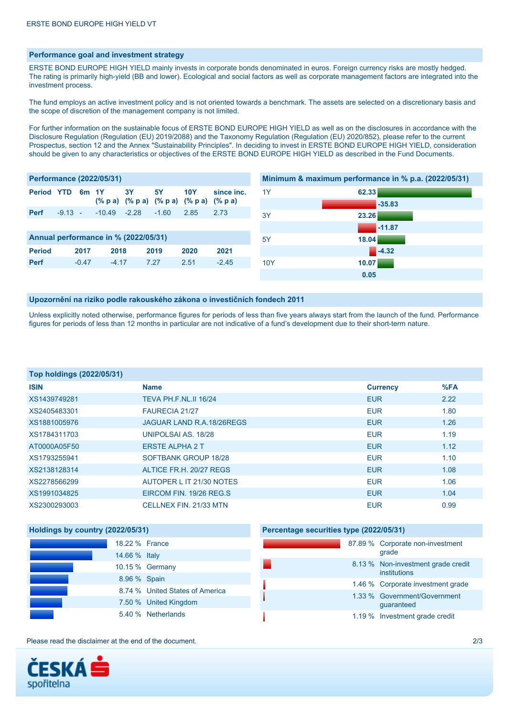## **Performance goal and investment strategy**

ERSTE BOND EUROPE HIGH YIELD mainly invests in corporate bonds denominated in euros. Foreign currency risks are mostly hedged. The rating is primarily high-yield (BB and lower). Ecological and social factors as well as corporate management factors are integrated into the investment process.

The fund employs an active investment policy and is not oriented towards a benchmark. The assets are selected on a discretionary basis and the scope of discretion of the management company is not limited.

For further information on the sustainable focus of ERSTE BOND EUROPE HIGH YIELD as well as on the disclosures in accordance with the Disclosure Regulation (Regulation (EU) 2019/2088) and the Taxonomy Regulation (Regulation (EU) 2020/852), please refer to the current [Prospectus](https://data.erste-am.com/gem/erste-am/getDocumentContentByIsin/P/CZ/EN/AT0000639422), section 12 and the Annex "Sustainability Principles". In deciding to invest in ERSTE BOND EUROPE HIGH YIELD, consideration should be given to any characteristics or objectives of the ERSTE BOND EUROPE HIGH YIELD as described in the Fund Documents.

| <b>Performance (2022/05/31)</b> |           |                 |                                      |         |           | Minimum & maximum performance in % p.a. (2022/05/31) |            |     |          |
|---------------------------------|-----------|-----------------|--------------------------------------|---------|-----------|------------------------------------------------------|------------|-----|----------|
| <b>Period YTD</b>               |           | 6m <sub>1</sub> |                                      | 3Y      | <b>5Y</b> | <b>10Y</b>                                           | since inc. | 1Y  | 62.33    |
|                                 |           |                 |                                      |         |           | (% p a) (% p a) (% p a) (% p a) (% p a)              |            |     | $-35.83$ |
| <b>Perf</b>                     | $-9.13 -$ |                 | $-10.49$                             | $-2.28$ | $-1.60$   | 2.85                                                 | 2.73       | 3Y  | 23.26    |
|                                 |           |                 |                                      |         |           |                                                      |            |     | $-11.87$ |
|                                 |           |                 | Annual performance in % (2022/05/31) |         |           |                                                      |            | 5Y  | 18.04    |
| <b>Period</b>                   |           | 2017            | 2018                                 |         | 2019      | 2020                                                 | 2021       |     | $-4.32$  |
| <b>Perf</b>                     |           | $-0.47$         | $-4.17$                              |         | 7.27      | 2.51                                                 | $-2.45$    | 10Y | 10.07    |
|                                 |           |                 |                                      |         |           |                                                      |            |     | 0.05     |

#### **Upozornění na riziko podle rakouského zákona o investičních fondech 2011**

Unless explicitly noted otherwise, performance figures for periods of less than five years always start from the launch of the fund. Performance figures for periods of less than 12 months in particular are not indicative of a fund's development due to their short-term nature.

| Top holdings (2022/05/31) |                             |                 |      |
|---------------------------|-----------------------------|-----------------|------|
| <b>ISIN</b>               | <b>Name</b>                 | <b>Currency</b> | %FA  |
| XS1439749281              | TEVA PH.F.NL.II 16/24       | <b>EUR</b>      | 2.22 |
| XS2405483301              | <b>FAURECIA 21/27</b>       | <b>EUR</b>      | 1.80 |
| XS1881005976              | JAGUAR LAND R.A.18/26REGS   | <b>EUR</b>      | 1.26 |
| XS1784311703              | UNIPOLSAI AS, 18/28         | <b>EUR</b>      | 1.19 |
| AT0000A05F50              | <b>ERSTE ALPHA 2 T</b>      | <b>EUR</b>      | 1.12 |
| XS1793255941              | <b>SOFTBANK GROUP 18/28</b> | <b>EUR</b>      | 1.10 |
| XS2138128314              | ALTICE FR.H. 20/27 REGS     | <b>EUR</b>      | 1.08 |
| XS2278566299              | AUTOPER L IT 21/30 NOTES    | <b>EUR</b>      | 1.06 |
| XS1991034825              | EIRCOM FIN. 19/26 REG.S.    | <b>EUR</b>      | 1.04 |
| XS2300293003              | CELLNEX FIN. 21/33 MTN      | <b>EUR</b>      | 0.99 |

| Holdings by country (2022/05/31) |                                 | Percentage securities type (2022/05/31) |  |                                                    |  |
|----------------------------------|---------------------------------|-----------------------------------------|--|----------------------------------------------------|--|
| 18.22 % France                   |                                 |                                         |  | 87.89 % Corporate non-investment<br>grade          |  |
| 14.66 % Italy                    |                                 |                                         |  |                                                    |  |
|                                  | 10.15 % Germany                 |                                         |  | 8.13 % Non-investment grade credit<br>institutions |  |
| 8.96 % Spain                     |                                 |                                         |  |                                                    |  |
|                                  | 8.74 % United States of America |                                         |  | 1.46 % Corporate investment grade                  |  |
|                                  |                                 |                                         |  | 1.33 % Government/Government                       |  |
|                                  | 7.50 % United Kingdom           |                                         |  | guaranteed                                         |  |
|                                  | 5.40 % Netherlands              |                                         |  | 1.19 % Investment grade credit                     |  |

Please read the disclaimer at the end of the document. 2/3